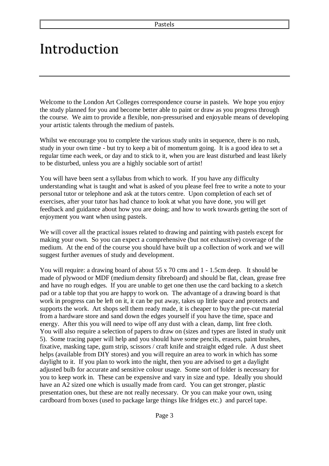## Introduction

Welcome to the London Art Colleges correspondence course in pastels. We hope you enjoy the study planned for you and become better able to paint or draw as you progress through the course. We aim to provide a flexible, non-pressurised and enjoyable means of developing your artistic talents through the medium of pastels.

Whilst we encourage you to complete the various study units in sequence, there is no rush, study in your own time - but try to keep a bit of momentum going. It is a good idea to set a regular time each week, or day and to stick to it, when you are least disturbed and least likely to be disturbed, unless you are a highly sociable sort of artist!

You will have been sent a syllabus from which to work. If you have any difficulty understanding what is taught and what is asked of you please feel free to write a note to your personal tutor or telephone and ask at the tutors centre. Upon completion of each set of exercises, after your tutor has had chance to look at what you have done, you will get feedback and guidance about how you are doing; and how to work towards getting the sort of enjoyment you want when using pastels.

We will cover all the practical issues related to drawing and painting with pastels except for making your own. So you can expect a comprehensive (but not exhaustive) coverage of the medium. At the end of the course you should have built up a collection of work and we will suggest further avenues of study and development.

You will require: a drawing board of about 55 x 70 cms and 1 - 1.5cm deep. It should be made of plywood or MDF (medium density fibreboard) and should be flat, clean, grease free and have no rough edges. If you are unable to get one then use the card backing to a sketch pad or a table top that you are happy to work on. The advantage of a drawing board is that work in progress can be left on it, it can be put away, takes up little space and protects and supports the work. Art shops sell them ready made, it is cheaper to buy the pre-cut material from a hardware store and sand down the edges yourself if you have the time, space and energy. After this you will need to wipe off any dust with a clean, damp, lint free cloth. You will also require a selection of papers to draw on (sizes and types are listed in study unit 5). Some tracing paper will help and you should have some pencils, erasers, paint brushes, fixative, masking tape, gum strip, scissors / craft knife and straight edged rule. A dust sheet helps (available from DIY stores) and you will require an area to work in which has some daylight to it. If you plan to work into the night, then you are advised to get a daylight adjusted bulb for accurate and sensitive colour usage. Some sort of folder is necessary for you to keep work in. These can be expensive and vary in size and type. Ideally you should have an A2 sized one which is usually made from card. You can get stronger, plastic presentation ones, but these are not really necessary. Or you can make your own, using cardboard from boxes (used to package large things like fridges etc.) and parcel tape.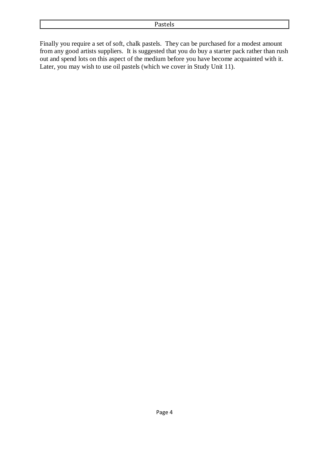Finally you require a set of soft, chalk pastels. They can be purchased for a modest amount from any good artists suppliers. It is suggested that you do buy a starter pack rather than rush out and spend lots on this aspect of the medium before you have become acquainted with it. Later, you may wish to use oil pastels (which we cover in Study Unit 11).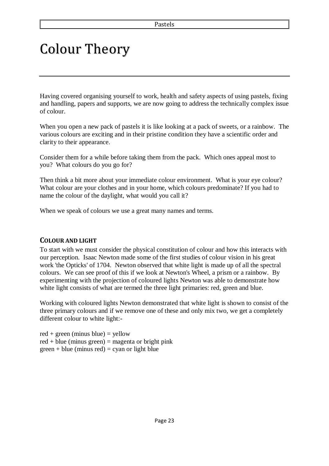## Colour Theory

Having covered organising yourself to work, health and safety aspects of using pastels, fixing and handling, papers and supports, we are now going to address the technically complex issue of colour.

When you open a new pack of pastels it is like looking at a pack of sweets, or a rainbow. The various colours are exciting and in their pristine condition they have a scientific order and clarity to their appearance.

Consider them for a while before taking them from the pack. Which ones appeal most to you? What colours do you go for?

Then think a bit more about your immediate colour environment. What is your eye colour? What colour are your clothes and in your home, which colours predominate? If you had to name the colour of the daylight, what would you call it?

When we speak of colours we use a great many names and terms.

## **COLOUR AND LIGHT**

To start with we must consider the physical constitution of colour and how this interacts with our perception. Isaac Newton made some of the first studies of colour vision in his great work 'the Opticks' of 1704. Newton observed that white light is made up of all the spectral colours. We can see proof of this if we look at Newton's Wheel, a prism or a rainbow. By experimenting with the projection of coloured lights Newton was able to demonstrate how white light consists of what are termed the three light primaries: red, green and blue.

Working with coloured lights Newton demonstrated that white light is shown to consist of the three primary colours and if we remove one of these and only mix two, we get a completely different colour to white light:-

 $red + green$  (minus blue) = yellow  $red + blue$  (minus green) = magenta or bright pink  $green + blue$  (minus red) = cyan or light blue